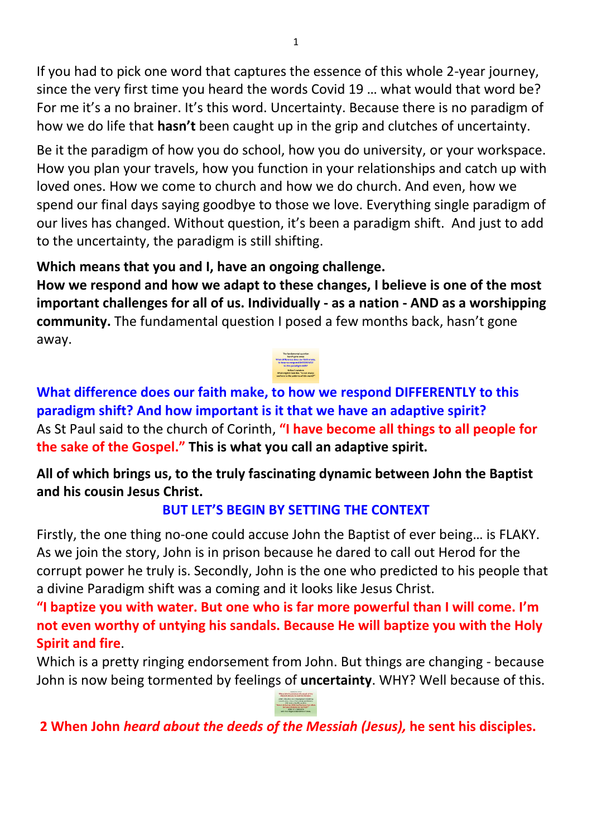If you had to pick one word that captures the essence of this whole 2-year journey, since the very first time you heard the words Covid 19 … what would that word be? For me it's a no brainer. It's this word. Uncertainty. Because there is no paradigm of how we do life that **hasn't** been caught up in the grip and clutches of uncertainty.

Be it the paradigm of how you do school, how you do university, or your workspace. How you plan your travels, how you function in your relationships and catch up with loved ones. How we come to church and how we do church. And even, how we spend our final days saying goodbye to those we love. Everything single paradigm of our lives has changed. Without question, it's been a paradigm shift. And just to add to the uncertainty, the paradigm is still shifting.

## **Which means that you and I, have an ongoing challenge.**

**How we respond and how we adapt to these changes, I believe is one of the most important challenges for all of us. Individually - as a nation - AND as a worshipping community.** The fundamental question I posed a few months back, hasn't gone away.



**What difference does our faith make, to how we respond DIFFERENTLY to this paradigm shift? And how important is it that we have an adaptive spirit?**  As St Paul said to the church of Corinth, **"I have become all things to all people for the sake of the Gospel." This is what you call an adaptive spirit.** 

**All of which brings us, to the truly fascinating dynamic between John the Baptist and his cousin Jesus Christ.** 

## **BUT LET'S BEGIN BY SETTING THE CONTEXT**

Firstly, the one thing no-one could accuse John the Baptist of ever being… is FLAKY. As we join the story, John is in prison because he dared to call out Herod for the corrupt power he truly is. Secondly, John is the one who predicted to his people that a divine Paradigm shift was a coming and it looks like Jesus Christ.

**"I baptize you with water. But one who is far more powerful than I will come. I'm not even worthy of untying his sandals. Because He will baptize you with the Holy Spirit and fire**.

Which is a pretty ringing endorsement from John. But things are changing - because John is now being tormented by feelings of **uncertainty**. WHY? Well because of this.

**2 When John** *heard about the deeds of the Messiah (Jesus),* **he sent his disciples.**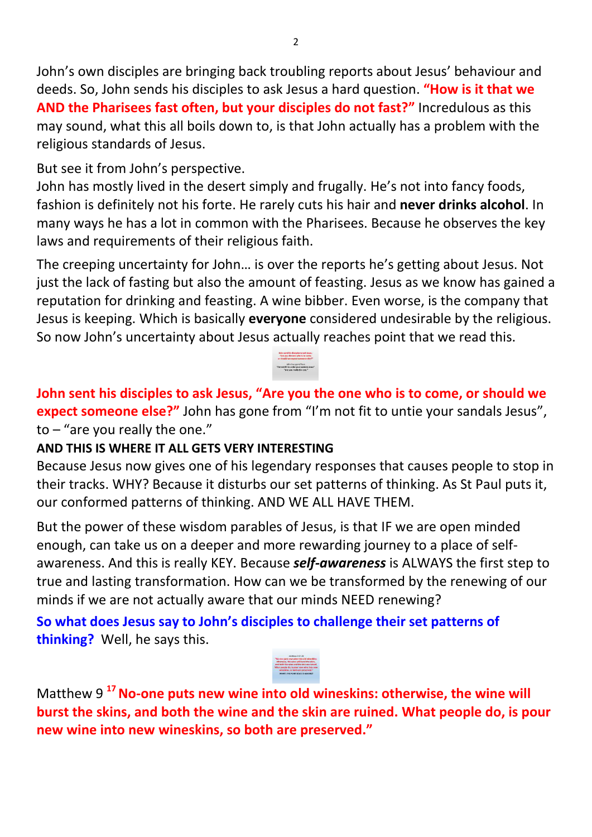John's own disciples are bringing back troubling reports about Jesus' behaviour and deeds. So, John sends his disciples to ask Jesus a hard question. **"How is it that we AND the Pharisees fast often, but your disciples do not fast?"** Incredulous as this may sound, what this all boils down to, is that John actually has a problem with the religious standards of Jesus.

But see it from John's perspective.

John has mostly lived in the desert simply and frugally. He's not into fancy foods, fashion is definitely not his forte. He rarely cuts his hair and **never drinks alcohol**. In many ways he has a lot in common with the Pharisees. Because he observes the key laws and requirements of their religious faith.

The creeping uncertainty for John… is over the reports he's getting about Jesus. Not just the lack of fasting but also the amount of feasting. Jesus as we know has gained a reputation for drinking and feasting. A wine bibber. Even worse, is the company that Jesus is keeping. Which is basically **everyone** considered undesirable by the religious. So now John's uncertainty about Jesus actually reaches point that we read this.

**John sent his disciples to ask Jesus, "Are you the one who is to come, or should we expect someone else?"** John has gone from "I'm not fit to untie your sandals Jesus", to – "are you really the one."

## **AND THIS IS WHERE IT ALL GETS VERY INTERESTING**

Because Jesus now gives one of his legendary responses that causes people to stop in their tracks. WHY? Because it disturbs our set patterns of thinking. As St Paul puts it, our conformed patterns of thinking. AND WE ALL HAVE THEM.

But the power of these wisdom parables of Jesus, is that IF we are open minded enough, can take us on a deeper and more rewarding journey to a place of selfawareness. And this is really KEY. Because *self-awareness* is ALWAYS the first step to true and lasting transformation. How can we be transformed by the renewing of our minds if we are not actually aware that our minds NEED renewing?

**So what does Jesus say to John's disciples to challenge their set patterns of thinking?** Well, he says this.



Matthew 9 **<sup>17</sup>No-one puts new wine into old wineskins: otherwise, the wine will burst the skins, and both the wine and the skin are ruined. What people do, is pour new wine into new wineskins, so both are preserved."**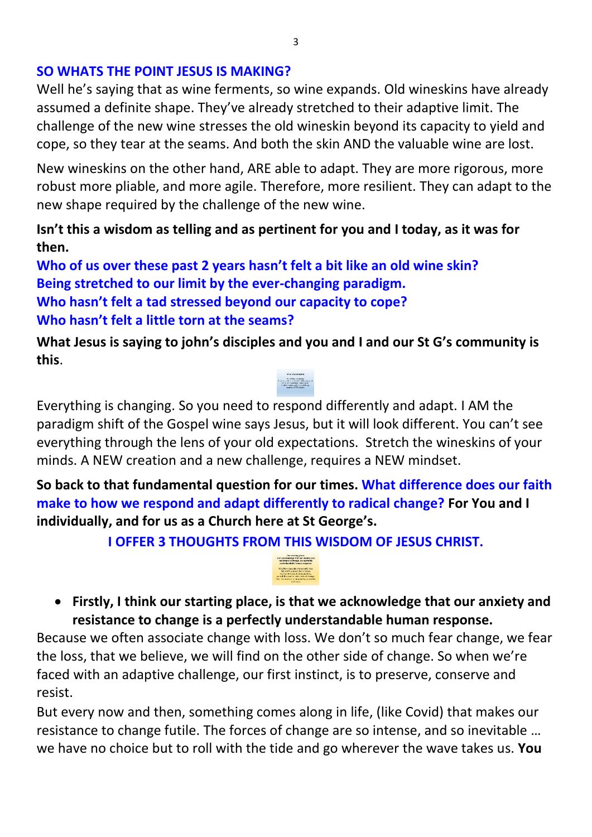#### **SO WHATS THE POINT JESUS IS MAKING?**

Well he's saying that as wine ferments, so wine expands. Old wineskins have already assumed a definite shape. They've already stretched to their adaptive limit. The challenge of the new wine stresses the old wineskin beyond its capacity to yield and cope, so they tear at the seams. And both the skin AND the valuable wine are lost.

New wineskins on the other hand, ARE able to adapt. They are more rigorous, more robust more pliable, and more agile. Therefore, more resilient. They can adapt to the new shape required by the challenge of the new wine.

### **Isn't this a wisdom as telling and as pertinent for you and I today, as it was for then.**

**Who of us over these past 2 years hasn't felt a bit like an old wine skin? Being stretched to our limit by the ever-changing paradigm. Who hasn't felt a tad stressed beyond our capacity to cope? Who hasn't felt a little torn at the seams?** 

**What Jesus is saying to john's disciples and you and I and our St G's community is this**.

## Everything is changing. So you need to respond differently and adapt. I AM the paradigm shift of the Gospel wine says Jesus, but it will look different. You can't see everything through the lens of your old expectations. Stretch the wineskins of your minds. A NEW creation and a new challenge, requires a NEW mindset.

**So back to that fundamental question for our times. What difference does our faith make to how we respond and adapt differently to radical change? For You and I individually, and for us as a Church here at St George's.**

**I OFFER 3 THOUGHTS FROM THIS WISDOM OF JESUS CHRIST.** 



 **Firstly, I think our starting place, is that we acknowledge that our anxiety and resistance to change is a perfectly understandable human response.** 

Because we often associate change with loss. We don't so much fear change, we fear the loss, that we believe, we will find on the other side of change. So when we're faced with an adaptive challenge, our first instinct, is to preserve, conserve and resist.

But every now and then, something comes along in life, (like Covid) that makes our resistance to change futile. The forces of change are so intense, and so inevitable … we have no choice but to roll with the tide and go wherever the wave takes us. **You**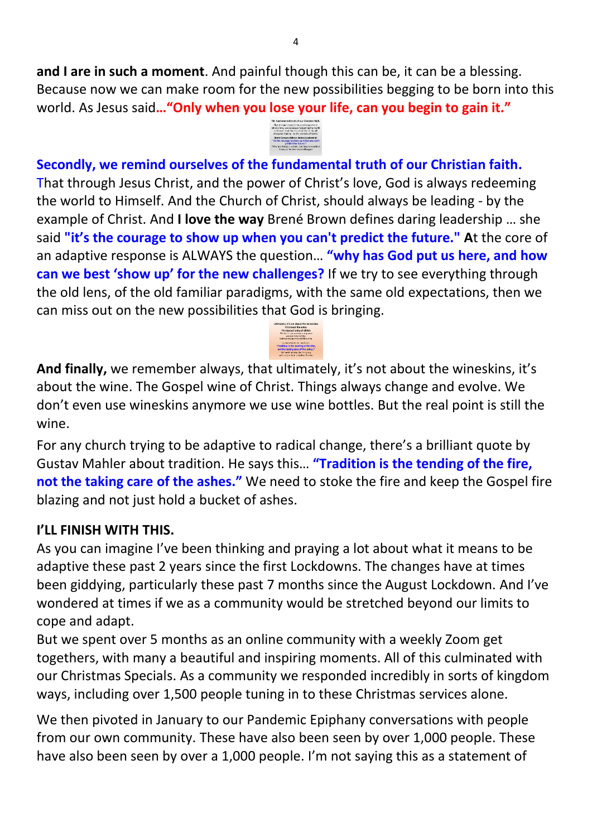**and I are in such a moment**. And painful though this can be, it can be a blessing. Because now we can make room for the new possibilities begging to be born into this world. As Jesus said**…"Only when you lose your life, can you begin to gain it."**



**Secondly, we remind ourselves of the fundamental truth of our Christian faith.** That through Jesus Christ, and the power of Christ's love, God is always redeeming the world to Himself. And the Church of Christ, should always be leading - by the example of Christ. And **I love the way** Brené Brown defines daring leadership … she said **"it's the courage to show up when you can't predict the future." A**t the core of an adaptive response is ALWAYS the question… **"why has God put us here, and how can we best 'show up' for the new challenges?** If we try to see everything through the old lens, of the old familiar paradigms, with the same old expectations, then we can miss out on the new possibilities that God is bringing.

**And finally,** we remember always, that ultimately, it's not about the wineskins, it's about the wine. The Gospel wine of Christ. Things always change and evolve. We don't even use wineskins anymore we use wine bottles. But the real point is still the wine.

For any church trying to be adaptive to radical change, there's a brilliant quote by Gustav Mahler about tradition. He says this… **"Tradition is the tending of the fire, not the taking care of the ashes."** We need to stoke the fire and keep the Gospel fire blazing and not just hold a bucket of ashes.

## **I'LL FINISH WITH THIS.**

As you can imagine I've been thinking and praying a lot about what it means to be adaptive these past 2 years since the first Lockdowns. The changes have at times been giddying, particularly these past 7 months since the August Lockdown. And I've wondered at times if we as a community would be stretched beyond our limits to cope and adapt.

But we spent over 5 months as an online community with a weekly Zoom get togethers, with many a beautiful and inspiring moments. All of this culminated with our Christmas Specials. As a community we responded incredibly in sorts of kingdom ways, including over 1,500 people tuning in to these Christmas services alone.

We then pivoted in January to our Pandemic Epiphany conversations with people from our own community. These have also been seen by over 1,000 people. These have also been seen by over a 1,000 people. I'm not saying this as a statement of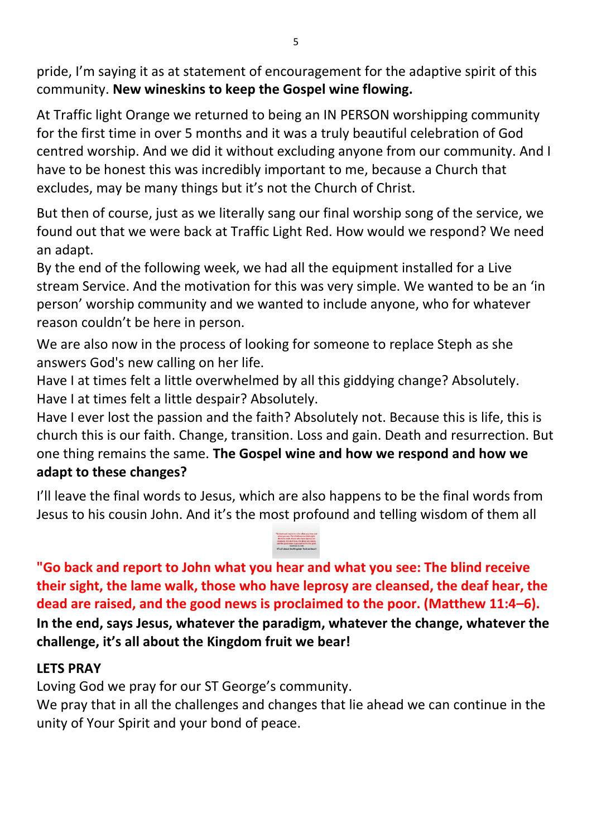pride, I'm saying it as at statement of encouragement for the adaptive spirit of this community. **New wineskins to keep the Gospel wine flowing.** 

At Traffic light Orange we returned to being an IN PERSON worshipping community for the first time in over 5 months and it was a truly beautiful celebration of God centred worship. And we did it without excluding anyone from our community. And I have to be honest this was incredibly important to me, because a Church that excludes, may be many things but it's not the Church of Christ.

But then of course, just as we literally sang our final worship song of the service, we found out that we were back at Traffic Light Red. How would we respond? We need an adapt.

By the end of the following week, we had all the equipment installed for a Live stream Service. And the motivation for this was very simple. We wanted to be an 'in person' worship community and we wanted to include anyone, who for whatever reason couldn't be here in person.

We are also now in the process of looking for someone to replace Steph as she answers God's new calling on her life.

Have I at times felt a little overwhelmed by all this giddying change? Absolutely. Have I at times felt a little despair? Absolutely.

Have I ever lost the passion and the faith? Absolutely not. Because this is life, this is church this is our faith. Change, transition. Loss and gain. Death and resurrection. But one thing remains the same. **The Gospel wine and how we respond and how we adapt to these changes?**

I'll leave the final words to Jesus, which are also happens to be the final words from Jesus to his cousin John. And it's the most profound and telling wisdom of them all

# **"Go back and report to John what you hear and what you see: The blind receive their sight, the lame walk, those who have leprosy are cleansed, the deaf hear, the dead are raised, and the good news is proclaimed to the poor. (Matthew 11:4–6). In the end, says Jesus, whatever the paradigm, whatever the change, whatever the challenge, it's all about the Kingdom fruit we bear!**

## **LETS PRAY**

Loving God we pray for our ST George's community.

We pray that in all the challenges and changes that lie ahead we can continue in the unity of Your Spirit and your bond of peace.